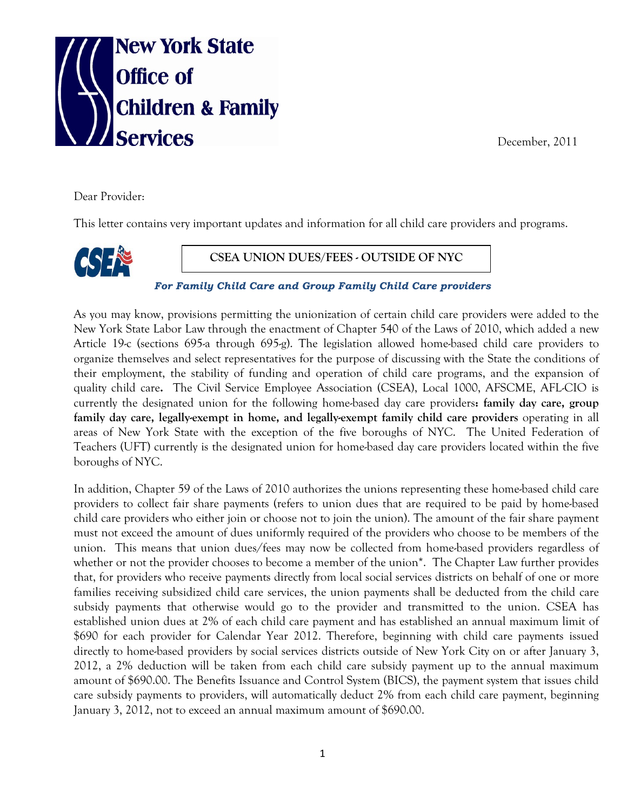

December, 2011

Dear Provider:

This letter contains very important updates and information for all child care providers and programs.



**CSEA UNION DUES/FEES - OUTSIDE OF NYC**

*For Family Child Care and Group Family Child Care providers* 

As you may know, provisions permitting the unionization of certain child care providers were added to the New York State Labor Law through the enactment of Chapter 540 of the Laws of 2010, which added a new Article 19-c (sections 695-a through 695-g). The legislation allowed home-based child care providers to organize themselves and select representatives for the purpose of discussing with the State the conditions of their employment, the stability of funding and operation of child care programs, and the expansion of quality child care**.** The Civil Service Employee Association (CSEA), Local 1000, AFSCME, AFL-CIO is currently the designated union for the following home-based day care providers**: family day care, group family day care, legally-exempt in home, and legally-exempt family child care providers** operating in all areas of New York State with the exception of the five boroughs of NYC. The United Federation of Teachers (UFT) currently is the designated union for home-based day care providers located within the five boroughs of NYC.

In addition, Chapter 59 of the Laws of 2010 authorizes the unions representing these home-based child care providers to collect fair share payments (refers to union dues that are required to be paid by home-based child care providers who either join or choose not to join the union). The amount of the fair share payment must not exceed the amount of dues uniformly required of the providers who choose to be members of the union. This means that union dues/fees may now be collected from home-based providers regardless of whether or not the provider chooses to become a member of the union<sup>\*</sup>. The Chapter Law further provides that, for providers who receive payments directly from local social services districts on behalf of one or more families receiving subsidized child care services, the union payments shall be deducted from the child care subsidy payments that otherwise would go to the provider and transmitted to the union. CSEA has established union dues at 2% of each child care payment and has established an annual maximum limit of \$690 for each provider for Calendar Year 2012. Therefore, beginning with child care payments issued directly to home-based providers by social services districts outside of New York City on or after January 3, 2012, a 2% deduction will be taken from each child care subsidy payment up to the annual maximum amount of \$690.00. The Benefits Issuance and Control System (BICS), the payment system that issues child care subsidy payments to providers, will automatically deduct 2% from each child care payment, beginning January 3, 2012, not to exceed an annual maximum amount of \$690.00.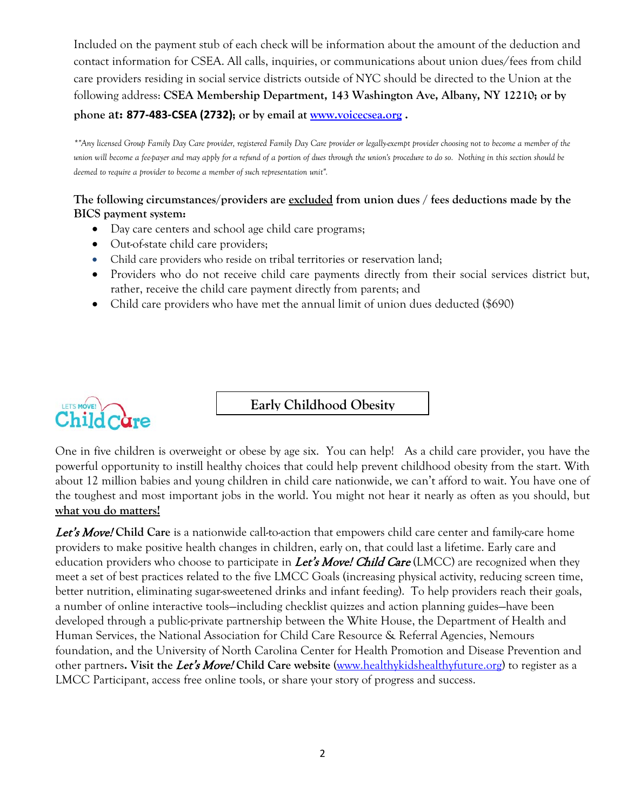Included on the payment stub of each check will be information about the amount of the deduction and contact information for CSEA. All calls, inquiries, or communications about union dues/fees from child care providers residing in social service districts outside of NYC should be directed to the Union at the following address: **CSEA Membership Department, 143 Washington Ave, Albany, NY 12210; or by phone at: 877-483-CSEA (2732); or by email at [www.voicecsea.org](http://www.voicecsea.org/) .**

*\*"Any licensed Group Family Day Care provider, registered Family Day Care provider or legally-exempt provider choosing not to become a member of the union will become a fee-payer and may apply for a refund of a portion of dues through the union's procedure to do so. Nothing in this section should be deemed to require a provider to become a member of such representation unit".*

## **The following circumstances/providers are excluded from union dues / fees deductions made by the BICS payment system:**

- Day care centers and school age child care programs;
- Out-of-state child care providers;
- Child care providers who reside on tribal territories or reservation land;
- Providers who do not receive child care payments directly from their social services district but, rather, receive the child care payment directly from parents; and
- Child care providers who have met the annual limit of union dues deducted (\$690)



**Early Childhood Obesity** 

One in five children is overweight or obese by age six. You can help! As a child care provider, you have the powerful opportunity to instill healthy choices that could help prevent childhood obesity from the start. With about 12 million babies and young children in child care nationwide, we can't afford to wait. You have one of the toughest and most important jobs in the world. You might not hear it nearly as often as you should, but **what you do matters!**

Let's Move! **Child Care** is a nationwide call-to-action that empowers child care center and family-care home providers to make positive health changes in children, early on, that could last a lifetime. Early care and education providers who choose to participate in Let's Move! Child Care (LMCC) are recognized when they meet a set of best practices related to the five LMCC Goals (increasing physical activity, reducing screen time, better nutrition, eliminating sugar-sweetened drinks and infant feeding). To help providers reach their goals, a number of online interactive tools—including checklist quizzes and action planning guides—have been developed through a public-private partnership between the White House, the Department of Health and Human Services, the National Association for Child Care Resource & Referral Agencies, Nemours foundation, and the University of North Carolina Center for Health Promotion and Disease Prevention and other partners**. Visit the** Let's Move! **Child Care website** [\(www.healthykidshealthyfuture.org\)](http://www.healthykidshealthyfuture.org/) to register as a LMCC Participant, access free online tools, or share your story of progress and success.